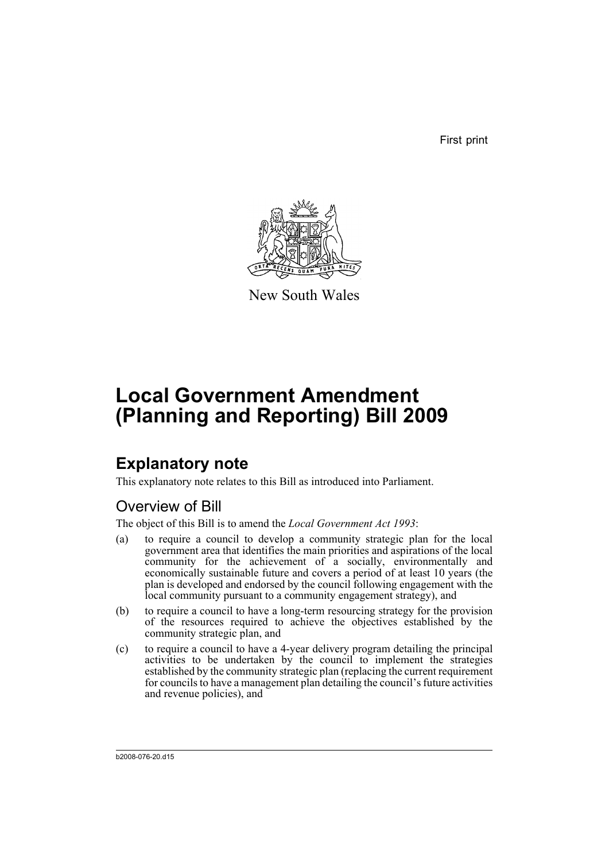First print



New South Wales

# **Local Government Amendment (Planning and Reporting) Bill 2009**

## **Explanatory note**

This explanatory note relates to this Bill as introduced into Parliament.

### Overview of Bill

The object of this Bill is to amend the *Local Government Act 1993*:

- (a) to require a council to develop a community strategic plan for the local government area that identifies the main priorities and aspirations of the local community for the achievement of a socially, environmentally and economically sustainable future and covers a period of at least 10 years (the plan is developed and endorsed by the council following engagement with the local community pursuant to a community engagement strategy), and
- (b) to require a council to have a long-term resourcing strategy for the provision of the resources required to achieve the objectives established by the community strategic plan, and
- (c) to require a council to have a 4-year delivery program detailing the principal activities to be undertaken by the council to implement the strategies established by the community strategic plan (replacing the current requirement for councils to have a management plan detailing the council's future activities and revenue policies), and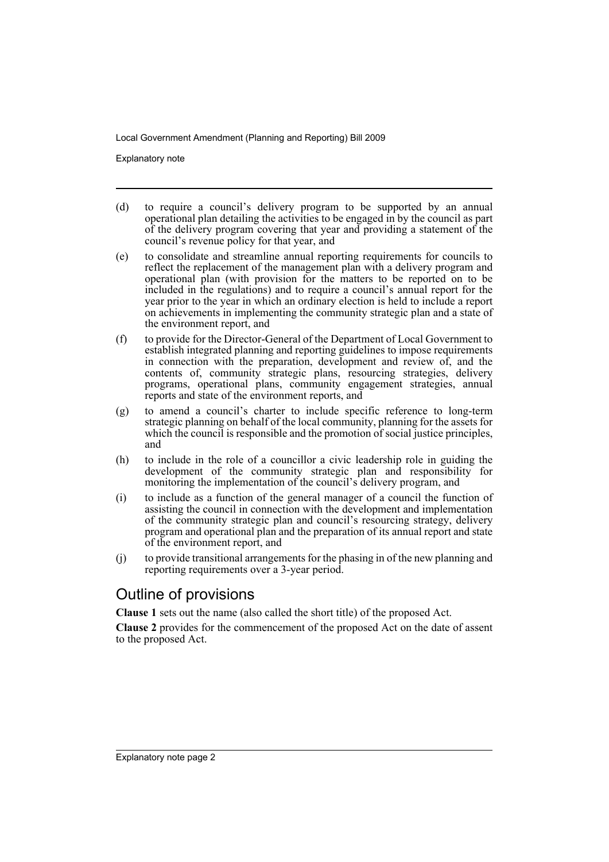Explanatory note

- (d) to require a council's delivery program to be supported by an annual operational plan detailing the activities to be engaged in by the council as part of the delivery program covering that year and providing a statement of the council's revenue policy for that year, and
- (e) to consolidate and streamline annual reporting requirements for councils to reflect the replacement of the management plan with a delivery program and operational plan (with provision for the matters to be reported on to be included in the regulations) and to require a council's annual report for the year prior to the year in which an ordinary election is held to include a report on achievements in implementing the community strategic plan and a state of the environment report, and
- (f) to provide for the Director-General of the Department of Local Government to establish integrated planning and reporting guidelines to impose requirements in connection with the preparation, development and review of, and the contents of, community strategic plans, resourcing strategies, delivery programs, operational plans, community engagement strategies, annual reports and state of the environment reports, and
- (g) to amend a council's charter to include specific reference to long-term strategic planning on behalf of the local community, planning for the assets for which the council is responsible and the promotion of social justice principles, and
- (h) to include in the role of a councillor a civic leadership role in guiding the development of the community strategic plan and responsibility for monitoring the implementation of the council's delivery program, and
- (i) to include as a function of the general manager of a council the function of assisting the council in connection with the development and implementation of the community strategic plan and council's resourcing strategy, delivery program and operational plan and the preparation of its annual report and state of the environment report, and
- (j) to provide transitional arrangements for the phasing in of the new planning and reporting requirements over a 3-year period.

#### Outline of provisions

**Clause 1** sets out the name (also called the short title) of the proposed Act.

**Clause 2** provides for the commencement of the proposed Act on the date of assent to the proposed Act.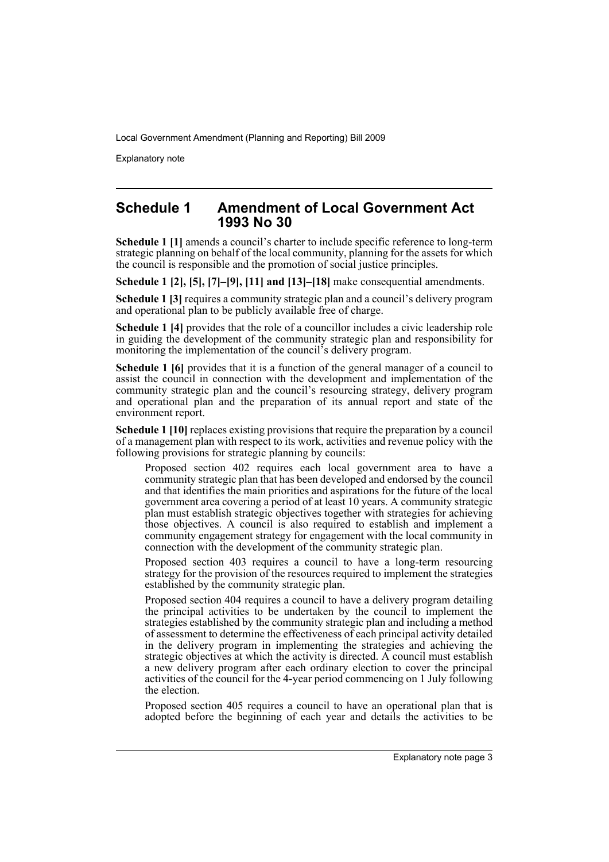Explanatory note

#### **Schedule 1 Amendment of Local Government Act 1993 No 30**

**Schedule 1 [1]** amends a council's charter to include specific reference to long-term strategic planning on behalf of the local community, planning for the assets for which the council is responsible and the promotion of social justice principles.

**Schedule 1 [2], [5], [7]–[9], [11] and [13]–[18]** make consequential amendments.

**Schedule 1 [3]** requires a community strategic plan and a council's delivery program and operational plan to be publicly available free of charge.

**Schedule 1 [4]** provides that the role of a councillor includes a civic leadership role in guiding the development of the community strategic plan and responsibility for monitoring the implementation of the council's delivery program.

**Schedule 1 [6]** provides that it is a function of the general manager of a council to assist the council in connection with the development and implementation of the community strategic plan and the council's resourcing strategy, delivery program and operational plan and the preparation of its annual report and state of the environment report.

**Schedule 1 [10]** replaces existing provisions that require the preparation by a council of a management plan with respect to its work, activities and revenue policy with the following provisions for strategic planning by councils:

Proposed section 402 requires each local government area to have a community strategic plan that has been developed and endorsed by the council and that identifies the main priorities and aspirations for the future of the local government area covering a period of at least 10 years. A community strategic plan must establish strategic objectives together with strategies for achieving those objectives. A council is also required to establish and implement a community engagement strategy for engagement with the local community in connection with the development of the community strategic plan.

Proposed section 403 requires a council to have a long-term resourcing strategy for the provision of the resources required to implement the strategies established by the community strategic plan.

Proposed section 404 requires a council to have a delivery program detailing the principal activities to be undertaken by the council to implement the strategies established by the community strategic plan and including a method of assessment to determine the effectiveness of each principal activity detailed in the delivery program in implementing the strategies and achieving the strategic objectives at which the activity is directed. A council must establish a new delivery program after each ordinary election to cover the principal activities of the council for the 4-year period commencing on 1 July following the election.

Proposed section 405 requires a council to have an operational plan that is adopted before the beginning of each year and details the activities to be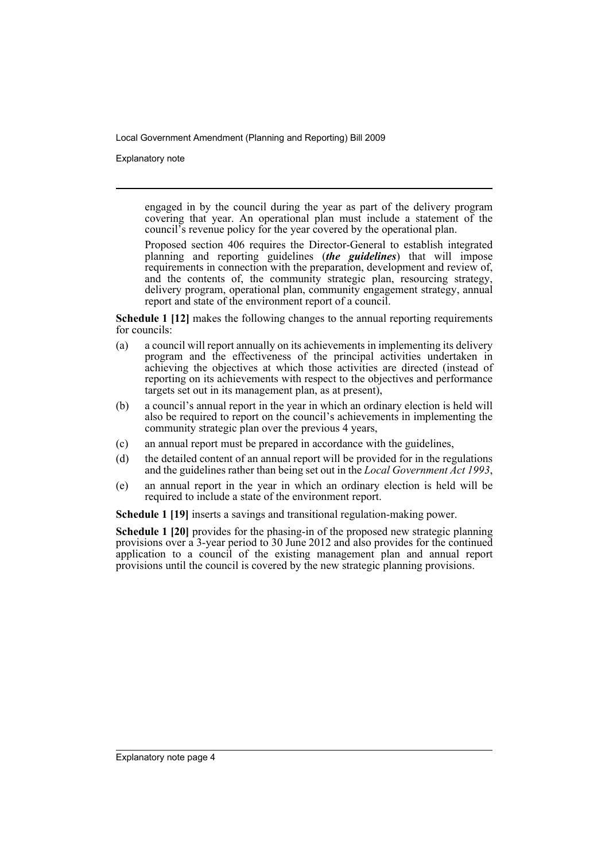Explanatory note

engaged in by the council during the year as part of the delivery program covering that year. An operational plan must include a statement of the council's revenue policy for the year covered by the operational plan.

Proposed section 406 requires the Director-General to establish integrated planning and reporting guidelines (*the guidelines*) that will impose requirements in connection with the preparation, development and review of, and the contents of, the community strategic plan, resourcing strategy, delivery program, operational plan, community engagement strategy, annual report and state of the environment report of a council.

**Schedule 1 [12]** makes the following changes to the annual reporting requirements for councils:

- (a) a council will report annually on its achievements in implementing its delivery program and the effectiveness of the principal activities undertaken in achieving the objectives at which those activities are directed (instead of reporting on its achievements with respect to the objectives and performance targets set out in its management plan, as at present),
- (b) a council's annual report in the year in which an ordinary election is held will also be required to report on the council's achievements in implementing the community strategic plan over the previous 4 years,
- (c) an annual report must be prepared in accordance with the guidelines,
- (d) the detailed content of an annual report will be provided for in the regulations and the guidelines rather than being set out in the *Local Government Act 1993*,
- (e) an annual report in the year in which an ordinary election is held will be required to include a state of the environment report.

**Schedule 1 [19]** inserts a savings and transitional regulation-making power.

**Schedule 1 [20]** provides for the phasing-in of the proposed new strategic planning provisions over a 3-year period to 30 June 2012 and also provides for the continued application to a council of the existing management plan and annual report provisions until the council is covered by the new strategic planning provisions.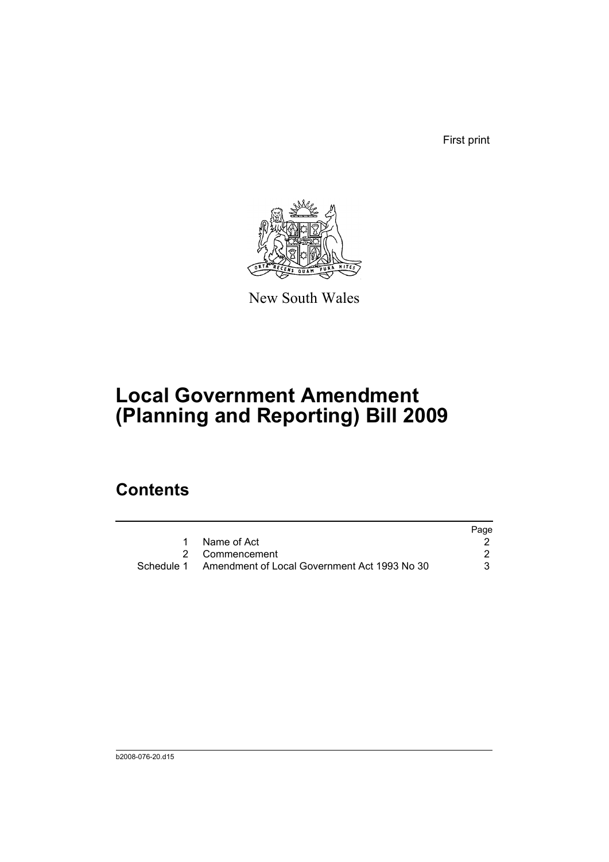First print



New South Wales

# **Local Government Amendment (Planning and Reporting) Bill 2009**

## **Contents**

|                                                         | Page |
|---------------------------------------------------------|------|
| Name of Act                                             |      |
| 2 Commencement                                          |      |
| Schedule 1 Amendment of Local Government Act 1993 No 30 |      |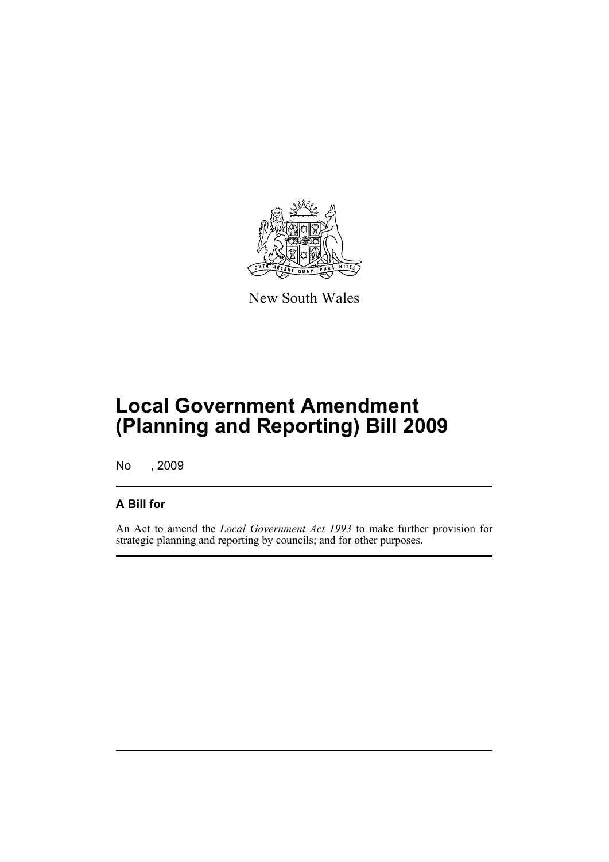

New South Wales

## **Local Government Amendment (Planning and Reporting) Bill 2009**

No , 2009

#### **A Bill for**

An Act to amend the *Local Government Act 1993* to make further provision for strategic planning and reporting by councils; and for other purposes.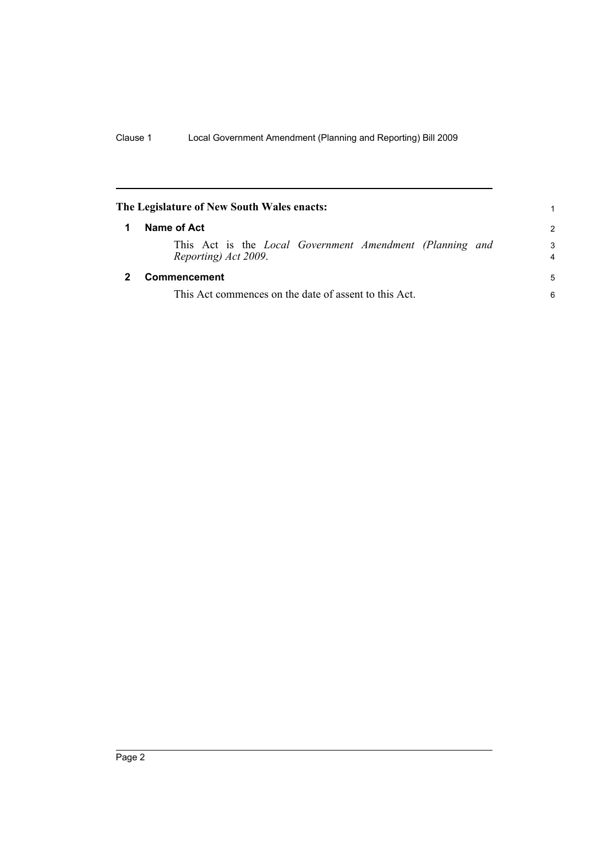<span id="page-7-1"></span><span id="page-7-0"></span>

| The Legislature of New South Wales enacts: |                                                                                         |               |
|--------------------------------------------|-----------------------------------------------------------------------------------------|---------------|
|                                            | Name of Act                                                                             | $\mathcal{P}$ |
|                                            | This Act is the <i>Local Government Amendment (Planning and</i><br>Reporting) Act 2009. | 3<br>4        |
|                                            | Commencement                                                                            | 5             |
|                                            | This Act commences on the date of assent to this Act.                                   | 6             |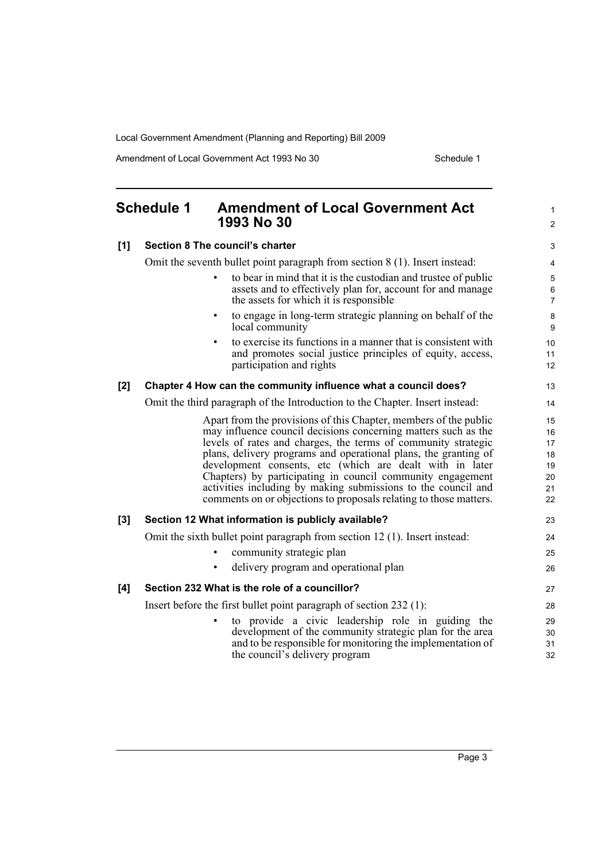Amendment of Local Government Act 1993 No 30 Schedule 1

<span id="page-8-0"></span>

|       | <b>Schedule 1</b><br><b>Amendment of Local Government Act</b><br>1993 No 30                                                                                             | 1<br>$\overline{c}$      |
|-------|-------------------------------------------------------------------------------------------------------------------------------------------------------------------------|--------------------------|
| [1]   | Section 8 The council's charter                                                                                                                                         | 3                        |
|       | Omit the seventh bullet point paragraph from section 8 (1). Insert instead:                                                                                             | 4                        |
|       | to bear in mind that it is the custodian and trustee of public<br>assets and to effectively plan for, account for and manage<br>the assets for which it is responsible. | 5<br>6<br>$\overline{7}$ |
|       | to engage in long-term strategic planning on behalf of the<br>$\bullet$<br>local community                                                                              | $\bf 8$<br>9             |
|       | to exercise its functions in a manner that is consistent with<br>and promotes social justice principles of equity, access,<br>participation and rights                  | 10<br>11<br>12           |
| [2]   | Chapter 4 How can the community influence what a council does?                                                                                                          | 13                       |
|       | Omit the third paragraph of the Introduction to the Chapter. Insert instead:                                                                                            | 14                       |
|       | Apart from the provisions of this Chapter, members of the public                                                                                                        | 15                       |
|       | may influence council decisions concerning matters such as the                                                                                                          | 16                       |
|       | levels of rates and charges, the terms of community strategic                                                                                                           | 17                       |
|       | plans, delivery programs and operational plans, the granting of<br>development consents, etc (which are dealt with in later                                             | 18<br>19                 |
|       | Chapters) by participating in council community engagement                                                                                                              | 20                       |
|       | activities including by making submissions to the council and                                                                                                           | 21                       |
|       | comments on or objections to proposals relating to those matters.                                                                                                       | 22                       |
| $[3]$ | Section 12 What information is publicly available?                                                                                                                      | 23                       |
|       | Omit the sixth bullet point paragraph from section 12 (1). Insert instead:                                                                                              | 24                       |
|       | community strategic plan                                                                                                                                                | 25                       |
|       | delivery program and operational plan                                                                                                                                   | 26                       |
| [4]   | Section 232 What is the role of a councillor?                                                                                                                           | 27                       |
|       | Insert before the first bullet point paragraph of section $232$ (1):                                                                                                    | 28                       |
|       | to provide a civic leadership role in guiding the                                                                                                                       | 29                       |
|       | development of the community strategic plan for the area                                                                                                                | 30                       |
|       | and to be responsible for monitoring the implementation of                                                                                                              | 31                       |

and to be responsible for monitoring the implementation of the council's delivery program

32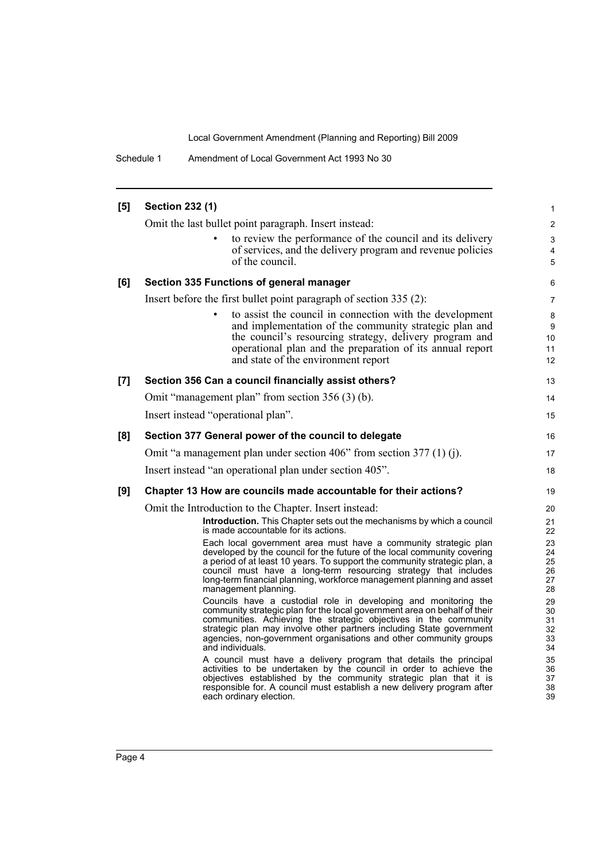Schedule 1 Amendment of Local Government Act 1993 No 30

| [5] | <b>Section 232 (1)</b>                                                                                                                                                                                                                                                                                                                                                                      | 1                                |
|-----|---------------------------------------------------------------------------------------------------------------------------------------------------------------------------------------------------------------------------------------------------------------------------------------------------------------------------------------------------------------------------------------------|----------------------------------|
|     | Omit the last bullet point paragraph. Insert instead:                                                                                                                                                                                                                                                                                                                                       | $\overline{2}$                   |
|     | to review the performance of the council and its delivery                                                                                                                                                                                                                                                                                                                                   | 3                                |
|     | of services, and the delivery program and revenue policies<br>of the council.                                                                                                                                                                                                                                                                                                               | 4<br>5                           |
| [6] | Section 335 Functions of general manager                                                                                                                                                                                                                                                                                                                                                    | 6                                |
|     | Insert before the first bullet point paragraph of section 335 (2):                                                                                                                                                                                                                                                                                                                          | 7                                |
|     | to assist the council in connection with the development<br>and implementation of the community strategic plan and<br>the council's resourcing strategy, delivery program and<br>operational plan and the preparation of its annual report<br>and state of the environment report                                                                                                           | 8<br>9<br>10<br>11<br>12         |
| [7] | Section 356 Can a council financially assist others?                                                                                                                                                                                                                                                                                                                                        | 13                               |
|     | Omit "management plan" from section 356 (3) (b).                                                                                                                                                                                                                                                                                                                                            | 14                               |
|     | Insert instead "operational plan".                                                                                                                                                                                                                                                                                                                                                          | 15                               |
| [8] | Section 377 General power of the council to delegate                                                                                                                                                                                                                                                                                                                                        | 16                               |
|     | Omit "a management plan under section 406" from section 377 (1) (j).                                                                                                                                                                                                                                                                                                                        | 17                               |
|     | Insert instead "an operational plan under section 405".                                                                                                                                                                                                                                                                                                                                     | 18                               |
| [9] | Chapter 13 How are councils made accountable for their actions?                                                                                                                                                                                                                                                                                                                             | 19                               |
|     | Omit the Introduction to the Chapter. Insert instead:                                                                                                                                                                                                                                                                                                                                       | 20                               |
|     | <b>Introduction.</b> This Chapter sets out the mechanisms by which a council<br>is made accountable for its actions.                                                                                                                                                                                                                                                                        | 21<br>22                         |
|     | Each local government area must have a community strategic plan<br>developed by the council for the future of the local community covering<br>a period of at least 10 years. To support the community strategic plan, a<br>council must have a long-term resourcing strategy that includes<br>long-term financial planning, workforce management planning and asset<br>management planning. | 23<br>24<br>25<br>26<br>27<br>28 |
|     | Councils have a custodial role in developing and monitoring the<br>community strategic plan for the local government area on behalf of their<br>communities. Achieving the strategic objectives in the community<br>strategic plan may involve other partners including State government<br>agencies, non-government organisations and other community groups<br>and individuals.           | 29<br>30<br>31<br>32<br>33<br>34 |
|     | A council must have a delivery program that details the principal<br>activities to be undertaken by the council in order to achieve the<br>objectives established by the community strategic plan that it is<br>responsible for. A council must establish a new delivery program after<br>each ordinary election.                                                                           | 35<br>36<br>37<br>38<br>39       |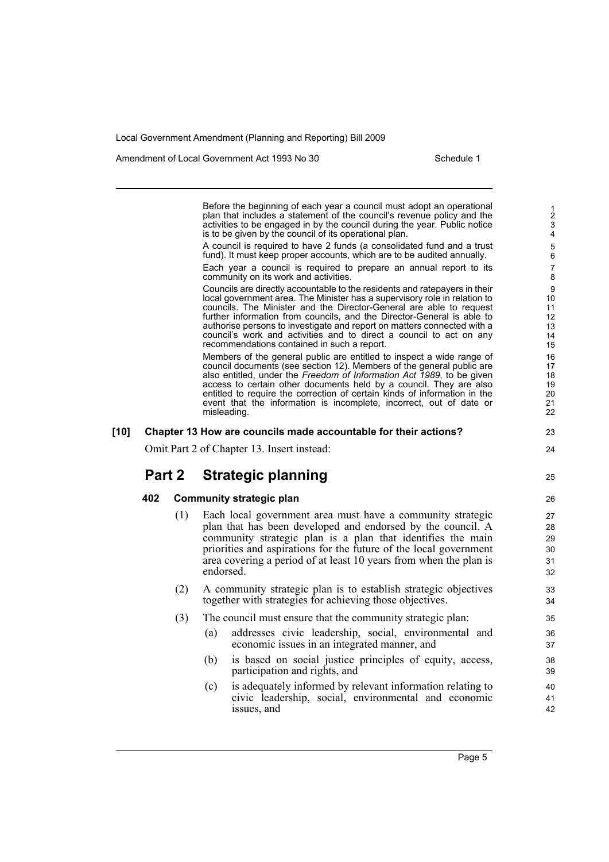Amendment of Local Government Act 1993 No 30 Schedule 1

25

Before the beginning of each year a council must adopt an operational plan that includes a statement of the council's revenue policy and the activities to be engaged in by the council during the year. Public notice is to be given by the council of its operational plan. A council is required to have 2 funds (a consolidated fund and a trust fund). It must keep proper accounts, which are to be audited annually. Each year a council is required to prepare an annual report to its community on its work and activities. Councils are directly accountable to the residents and ratepayers in their local government area. The Minister has a supervisory role in relation to councils. The Minister and the Director-General are able to request further information from councils, and the Director-General is able to authorise persons to investigate and report on matters connected with a council's work and activities and to direct a council to act on any recommendations contained in such a report. Members of the general public are entitled to inspect a wide range of council documents (see section 12). Members of the general public are also entitled, under the *Freedom of Information Act 1989*, to be given access to certain other documents held by a council. They are also entitled to require the correction of certain kinds of information in the event that the information is incomplete, incorrect, out of date or misleading. **[10] Chapter 13 How are councils made accountable for their actions?** Omit Part 2 of Chapter 13. Insert instead: **Part 2 Strategic planning 402 Community strategic plan** (1) Each local government area must have a community strategic plan that has been developed and endorsed by the council. A community strategic plan is a plan that identifies the main priorities and aspirations for the future of the local government area covering a period of at least 10 years from when the plan is endorsed. (2) A community strategic plan is to establish strategic objectives together with strategies for achieving those objectives. (3) The council must ensure that the community strategic plan: (a) addresses civic leadership, social, environmental and economic issues in an integrated manner, and (b) is based on social justice principles of equity, access, participation and rights, and (c) is adequately informed by relevant information relating to civic leadership, social, environmental and economic issues, and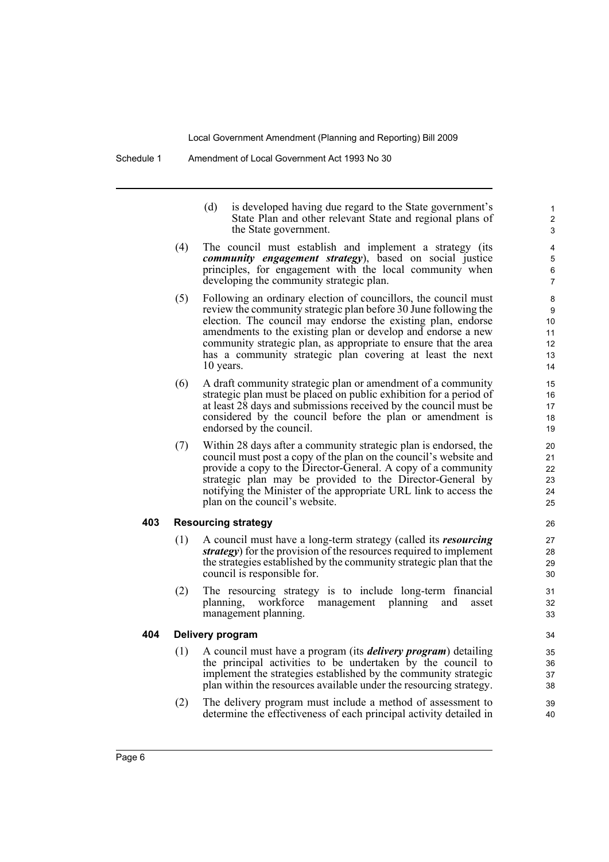|                         |     | (d)<br>is developed having due regard to the State government's<br>State Plan and other relevant State and regional plans of<br>the State government.                                                                                                                                                                                                                                                             |
|-------------------------|-----|-------------------------------------------------------------------------------------------------------------------------------------------------------------------------------------------------------------------------------------------------------------------------------------------------------------------------------------------------------------------------------------------------------------------|
|                         | (4) | The council must establish and implement a strategy (its<br><i>community engagement strategy</i> ), based on social justice<br>principles, for engagement with the local community when<br>developing the community strategic plan.                                                                                                                                                                               |
|                         | (5) | Following an ordinary election of councillors, the council must<br>review the community strategic plan before 30 June following the<br>election. The council may endorse the existing plan, endorse<br>amendments to the existing plan or develop and endorse a new<br>community strategic plan, as appropriate to ensure that the area<br>has a community strategic plan covering at least the next<br>10 years. |
|                         | (6) | A draft community strategic plan or amendment of a community<br>strategic plan must be placed on public exhibition for a period of<br>at least 28 days and submissions received by the council must be<br>considered by the council before the plan or amendment is<br>endorsed by the council.                                                                                                                   |
|                         | (7) | Within 28 days after a community strategic plan is endorsed, the<br>council must post a copy of the plan on the council's website and<br>provide a copy to the Director-General. A copy of a community<br>strategic plan may be provided to the Director-General by<br>notifying the Minister of the appropriate URL link to access the<br>plan on the council's website.                                         |
| 403                     |     | <b>Resourcing strategy</b>                                                                                                                                                                                                                                                                                                                                                                                        |
|                         | (1) | A council must have a long-term strategy (called its resourcing<br>strategy) for the provision of the resources required to implement<br>the strategies established by the community strategic plan that the<br>council is responsible for.                                                                                                                                                                       |
|                         | (2) | The resourcing strategy is to include long-term financial<br>workforce<br>planning,<br>management<br>planning<br>and<br>asset<br>management planning.                                                                                                                                                                                                                                                             |
| 404<br>Delivery program |     |                                                                                                                                                                                                                                                                                                                                                                                                                   |
|                         | (1) | A council must have a program (its <i>delivery program</i> ) detailing<br>the principal activities to be undertaken by the council to<br>implement the strategies established by the community strategic<br>plan within the resources available under the resourcing strategy.                                                                                                                                    |
|                         | (2) | The delivery program must include a method of assessment to<br>determine the effectiveness of each principal activity detailed in                                                                                                                                                                                                                                                                                 |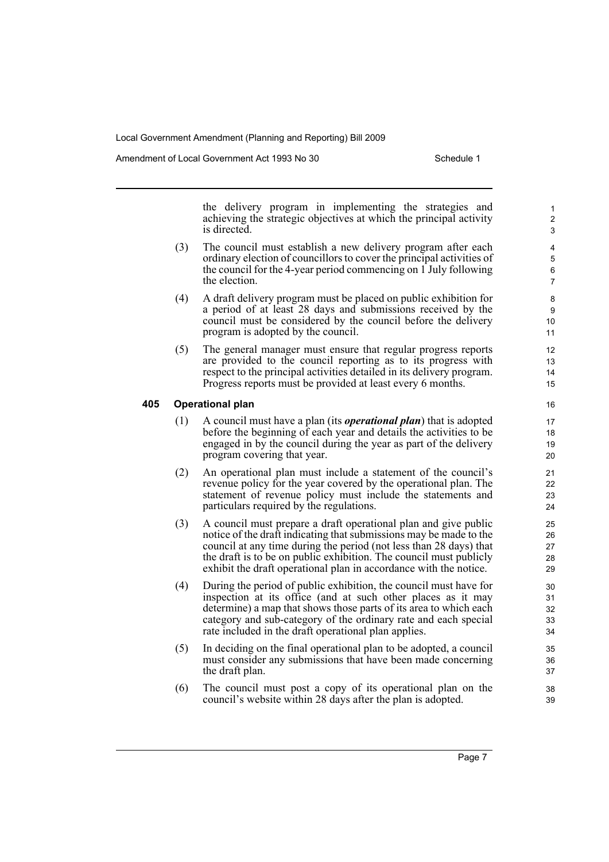Amendment of Local Government Act 1993 No 30 Schedule 1

the delivery program in implementing the strategies and achieving the strategic objectives at which the principal activity is directed.

- (3) The council must establish a new delivery program after each ordinary election of councillors to cover the principal activities of the council for the 4-year period commencing on 1 July following the election.
- (4) A draft delivery program must be placed on public exhibition for a period of at least 28 days and submissions received by the council must be considered by the council before the delivery program is adopted by the council.
- (5) The general manager must ensure that regular progress reports are provided to the council reporting as to its progress with respect to the principal activities detailed in its delivery program. Progress reports must be provided at least every 6 months.

#### **405 Operational plan**

- (1) A council must have a plan (its *operational plan*) that is adopted before the beginning of each year and details the activities to be engaged in by the council during the year as part of the delivery program covering that year.
- (2) An operational plan must include a statement of the council's revenue policy for the year covered by the operational plan. The statement of revenue policy must include the statements and particulars required by the regulations.
- (3) A council must prepare a draft operational plan and give public notice of the draft indicating that submissions may be made to the council at any time during the period (not less than 28 days) that the draft is to be on public exhibition. The council must publicly exhibit the draft operational plan in accordance with the notice.
- (4) During the period of public exhibition, the council must have for inspection at its office (and at such other places as it may determine) a map that shows those parts of its area to which each category and sub-category of the ordinary rate and each special rate included in the draft operational plan applies.
- (5) In deciding on the final operational plan to be adopted, a council must consider any submissions that have been made concerning the draft plan.
- (6) The council must post a copy of its operational plan on the council's website within 28 days after the plan is adopted.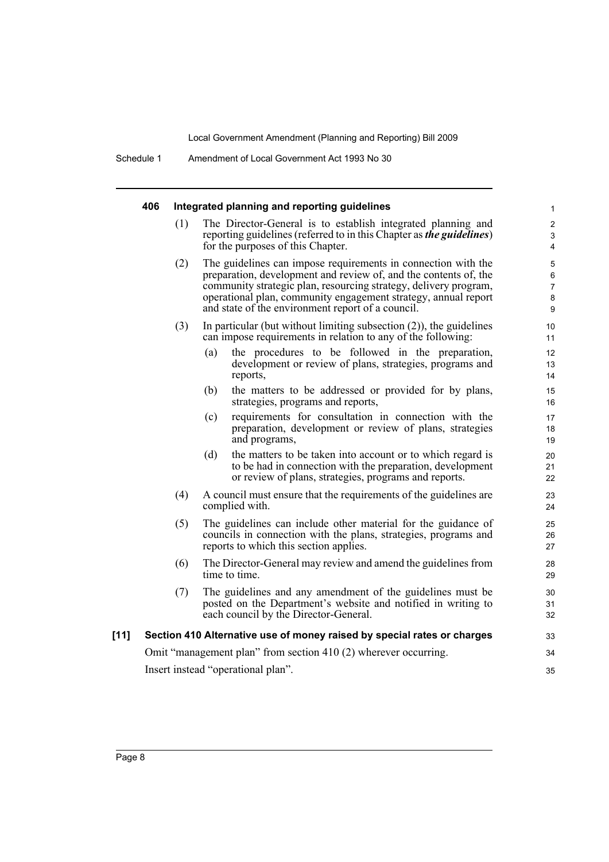|        | 406                                |     |                                                                                                                                                                                                                                                                                                                              | Integrated planning and reporting guidelines                                                                                                                                     | 1                                 |  |
|--------|------------------------------------|-----|------------------------------------------------------------------------------------------------------------------------------------------------------------------------------------------------------------------------------------------------------------------------------------------------------------------------------|----------------------------------------------------------------------------------------------------------------------------------------------------------------------------------|-----------------------------------|--|
|        |                                    | (1) |                                                                                                                                                                                                                                                                                                                              | The Director-General is to establish integrated planning and<br>reporting guidelines (referred to in this Chapter as the guidelines)<br>for the purposes of this Chapter.        | $\overline{\mathbf{c}}$<br>3<br>4 |  |
|        |                                    | (2) | The guidelines can impose requirements in connection with the<br>preparation, development and review of, and the contents of, the<br>community strategic plan, resourcing strategy, delivery program,<br>operational plan, community engagement strategy, annual report<br>and state of the environment report of a council. |                                                                                                                                                                                  |                                   |  |
|        |                                    | (3) |                                                                                                                                                                                                                                                                                                                              | In particular (but without limiting subsection $(2)$ ), the guidelines<br>can impose requirements in relation to any of the following:                                           | 10<br>11                          |  |
|        |                                    |     | (a)                                                                                                                                                                                                                                                                                                                          | the procedures to be followed in the preparation,<br>development or review of plans, strategies, programs and<br>reports,                                                        | 12<br>13<br>14                    |  |
|        |                                    |     | (b)                                                                                                                                                                                                                                                                                                                          | the matters to be addressed or provided for by plans,<br>strategies, programs and reports,                                                                                       | 15<br>16                          |  |
|        |                                    |     | (c)                                                                                                                                                                                                                                                                                                                          | requirements for consultation in connection with the<br>preparation, development or review of plans, strategies<br>and programs,                                                 | 17<br>18<br>19                    |  |
|        |                                    |     | (d)                                                                                                                                                                                                                                                                                                                          | the matters to be taken into account or to which regard is<br>to be had in connection with the preparation, development<br>or review of plans, strategies, programs and reports. | 20<br>21<br>22                    |  |
|        |                                    | (4) |                                                                                                                                                                                                                                                                                                                              | A council must ensure that the requirements of the guidelines are<br>complied with.                                                                                              | 23<br>24                          |  |
|        |                                    | (5) | The guidelines can include other material for the guidance of<br>councils in connection with the plans, strategies, programs and<br>reports to which this section applies.                                                                                                                                                   |                                                                                                                                                                                  | 25<br>26<br>27                    |  |
|        |                                    | (6) |                                                                                                                                                                                                                                                                                                                              | The Director-General may review and amend the guidelines from<br>time to time.                                                                                                   | 28<br>29                          |  |
|        |                                    | (7) |                                                                                                                                                                                                                                                                                                                              | The guidelines and any amendment of the guidelines must be<br>posted on the Department's website and notified in writing to<br>each council by the Director-General.             | 30<br>31<br>32                    |  |
| $[11]$ |                                    |     |                                                                                                                                                                                                                                                                                                                              | Section 410 Alternative use of money raised by special rates or charges                                                                                                          | 33                                |  |
|        |                                    |     |                                                                                                                                                                                                                                                                                                                              | Omit "management plan" from section 410 (2) wherever occurring.                                                                                                                  | 34                                |  |
|        | Insert instead "operational plan". |     |                                                                                                                                                                                                                                                                                                                              |                                                                                                                                                                                  | 35                                |  |
|        |                                    |     |                                                                                                                                                                                                                                                                                                                              |                                                                                                                                                                                  |                                   |  |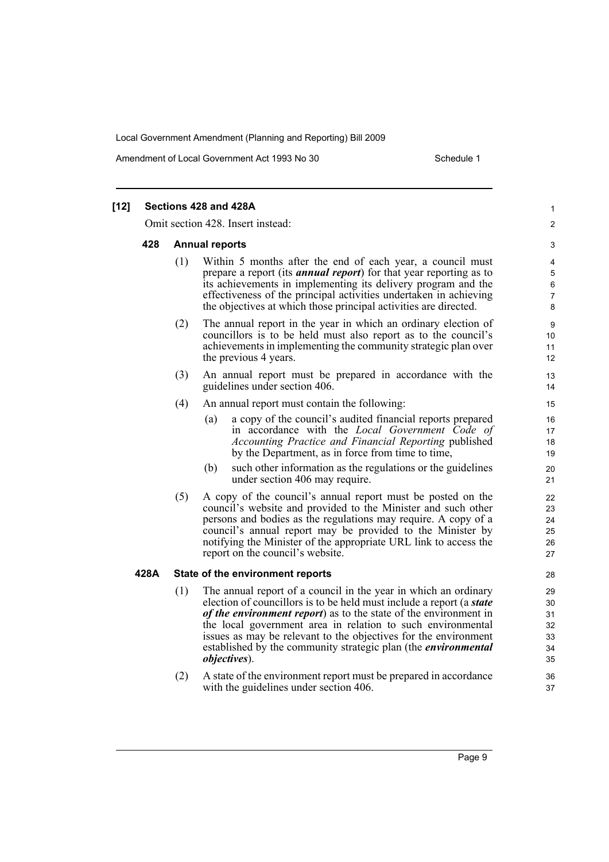Amendment of Local Government Act 1993 No 30 Schedule 1

| $[12]$ |     | Sections 428 and 428A                                                                                                                                                                                                                                                                                                                                                                                                                  |
|--------|-----|----------------------------------------------------------------------------------------------------------------------------------------------------------------------------------------------------------------------------------------------------------------------------------------------------------------------------------------------------------------------------------------------------------------------------------------|
|        |     | Omit section 428. Insert instead:                                                                                                                                                                                                                                                                                                                                                                                                      |
| 428    |     | <b>Annual reports</b>                                                                                                                                                                                                                                                                                                                                                                                                                  |
|        | (1) | Within 5 months after the end of each year, a council must<br>prepare a report (its <i>annual report</i> ) for that year reporting as to<br>its achievements in implementing its delivery program and the<br>effectiveness of the principal activities undertaken in achieving<br>the objectives at which those principal activities are directed.                                                                                     |
|        | (2) | The annual report in the year in which an ordinary election of<br>councillors is to be held must also report as to the council's<br>achievements in implementing the community strategic plan over<br>the previous 4 years.                                                                                                                                                                                                            |
|        | (3) | An annual report must be prepared in accordance with the<br>guidelines under section 406.                                                                                                                                                                                                                                                                                                                                              |
|        | (4) | An annual report must contain the following:                                                                                                                                                                                                                                                                                                                                                                                           |
|        |     | a copy of the council's audited financial reports prepared<br>(a)<br>in accordance with the Local Government Code of<br>Accounting Practice and Financial Reporting published<br>by the Department, as in force from time to time,                                                                                                                                                                                                     |
|        |     | such other information as the regulations or the guidelines<br>(b)<br>under section 406 may require.                                                                                                                                                                                                                                                                                                                                   |
|        | (5) | A copy of the council's annual report must be posted on the<br>council's website and provided to the Minister and such other<br>persons and bodies as the regulations may require. A copy of a<br>council's annual report may be provided to the Minister by<br>notifying the Minister of the appropriate URL link to access the<br>report on the council's website.                                                                   |
| 428A   |     | State of the environment reports                                                                                                                                                                                                                                                                                                                                                                                                       |
|        | (1) | The annual report of a council in the year in which an ordinary<br>election of councillors is to be held must include a report (a state<br>of the environment report) as to the state of the environment in<br>the local government area in relation to such environmental<br>issues as may be relevant to the objectives for the environment<br>established by the community strategic plan (the <i>environmental</i><br>objectives). |
|        | (2) | A state of the environment report must be prepared in accordance<br>with the guidelines under section 406.                                                                                                                                                                                                                                                                                                                             |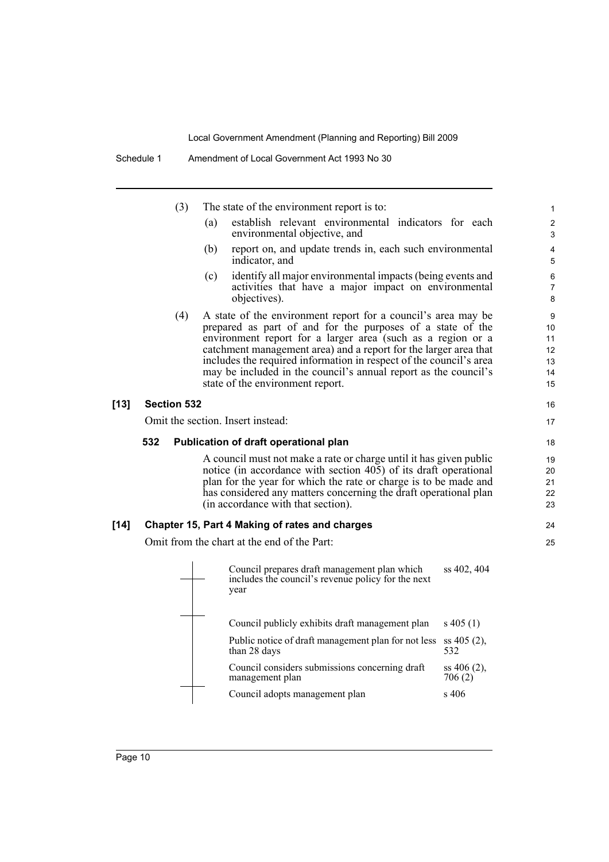management plan

|        | (3)                | The state of the environment report is to:                                                                                                                                                                                                                                                                                                                                                                                                  | 1                                     |
|--------|--------------------|---------------------------------------------------------------------------------------------------------------------------------------------------------------------------------------------------------------------------------------------------------------------------------------------------------------------------------------------------------------------------------------------------------------------------------------------|---------------------------------------|
|        |                    | establish relevant environmental indicators for each<br>(a)<br>environmental objective, and                                                                                                                                                                                                                                                                                                                                                 | $\overline{\mathbf{c}}$<br>3          |
|        |                    | report on, and update trends in, each such environmental<br>(b)<br>indicator, and                                                                                                                                                                                                                                                                                                                                                           | 4<br>5                                |
|        |                    | identify all major environmental impacts (being events and<br>(c)<br>activities that have a major impact on environmental<br>objectives).                                                                                                                                                                                                                                                                                                   | 6<br>7<br>8                           |
|        | (4)                | A state of the environment report for a council's area may be<br>prepared as part of and for the purposes of a state of the<br>environment report for a larger area (such as a region or a<br>catchment management area) and a report for the larger area that<br>includes the required information in respect of the council's area<br>may be included in the council's annual report as the council's<br>state of the environment report. | 9<br>10<br>11<br>12<br>13<br>14<br>15 |
| [13]   | <b>Section 532</b> |                                                                                                                                                                                                                                                                                                                                                                                                                                             | 16                                    |
|        |                    | Omit the section. Insert instead:                                                                                                                                                                                                                                                                                                                                                                                                           | 17                                    |
|        | 532                | Publication of draft operational plan                                                                                                                                                                                                                                                                                                                                                                                                       | 18                                    |
|        |                    | A council must not make a rate or charge until it has given public<br>notice (in accordance with section 405) of its draft operational<br>plan for the year for which the rate or charge is to be made and<br>has considered any matters concerning the draft operational plan<br>(in accordance with that section).                                                                                                                        | 19<br>20<br>21<br>22<br>23            |
| $[14]$ |                    | Chapter 15, Part 4 Making of rates and charges                                                                                                                                                                                                                                                                                                                                                                                              | 24                                    |
|        |                    | Omit from the chart at the end of the Part:                                                                                                                                                                                                                                                                                                                                                                                                 | 25                                    |
|        |                    | Council prepares draft management plan which<br>ss 402, 404<br>includes the council's revenue policy for the next<br>year                                                                                                                                                                                                                                                                                                                   |                                       |
|        |                    | Council publicly exhibits draft management plan<br>$s\,405(1)$                                                                                                                                                                                                                                                                                                                                                                              |                                       |
|        |                    | Public notice of draft management plan for not less<br>$ss 405 (2)$ ,<br>than 28 days<br>532                                                                                                                                                                                                                                                                                                                                                |                                       |
|        |                    | Council considers submissions concerning draft<br>ss 406 (2),                                                                                                                                                                                                                                                                                                                                                                               |                                       |

Council adopts management plan s 406

706 (2)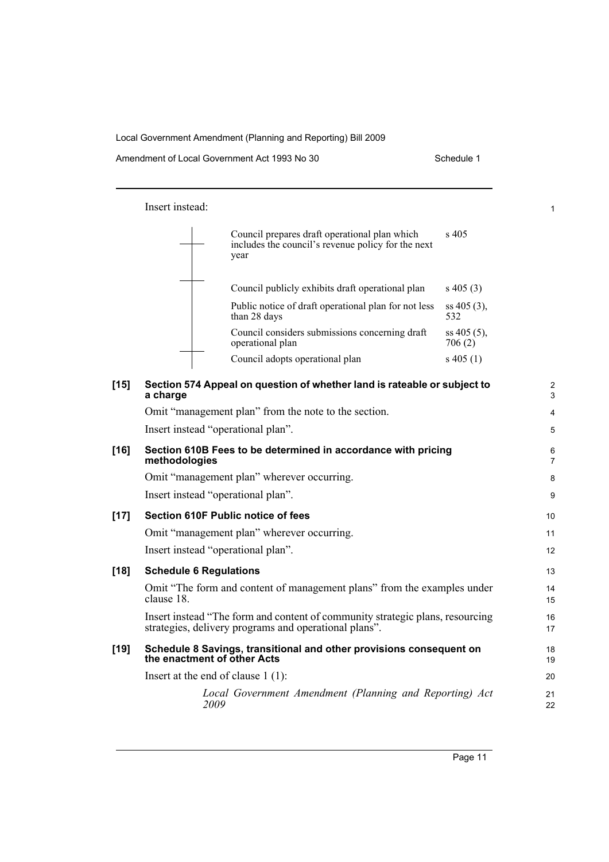1

Insert instead:

| Council prepares draft operational plan which<br>includes the council's revenue policy for the next<br>year | $\mathrm{s}$ 405        |
|-------------------------------------------------------------------------------------------------------------|-------------------------|
| Council publicly exhibits draft operational plan                                                            | $s\ 405(3)$             |
| Public notice of draft operational plan for not less<br>than 28 days                                        | $ss 405(3)$ ,<br>532    |
| Council considers submissions concerning draft<br>operational plan                                          | $ss 405(5)$ ,<br>706(2) |
| Council adopts operational plan                                                                             | s 405 (1)               |

| $[15]$ | Section 574 Appeal on question of whether land is rateable or subject to<br>a charge                                                   | $\overline{2}$<br>3 |
|--------|----------------------------------------------------------------------------------------------------------------------------------------|---------------------|
|        | Omit "management plan" from the note to the section.                                                                                   | 4                   |
|        | Insert instead "operational plan".                                                                                                     | 5                   |
| $[16]$ | Section 610B Fees to be determined in accordance with pricing<br>methodologies                                                         | 6<br>$\overline{7}$ |
|        | Omit "management plan" wherever occurring.                                                                                             | 8                   |
|        | Insert instead "operational plan".                                                                                                     | 9                   |
| $[17]$ | Section 610F Public notice of fees                                                                                                     | 10                  |
|        | Omit "management plan" wherever occurring.                                                                                             | 11                  |
|        | Insert instead "operational plan".                                                                                                     | 12                  |
| $[18]$ | <b>Schedule 6 Regulations</b>                                                                                                          | 13                  |
|        | Omit "The form and content of management plans" from the examples under<br>clause 18.                                                  | 14<br>15            |
|        | Insert instead "The form and content of community strategic plans, resourcing<br>strategies, delivery programs and operational plans". | 16<br>17            |
| $[19]$ | Schedule 8 Savings, transitional and other provisions consequent on<br>the enactment of other Acts                                     | 18<br>19            |
|        | Insert at the end of clause $1(1)$ :                                                                                                   | 20                  |
|        | Local Government Amendment (Planning and Reporting) Act<br>2009                                                                        | 21<br>22            |
|        |                                                                                                                                        |                     |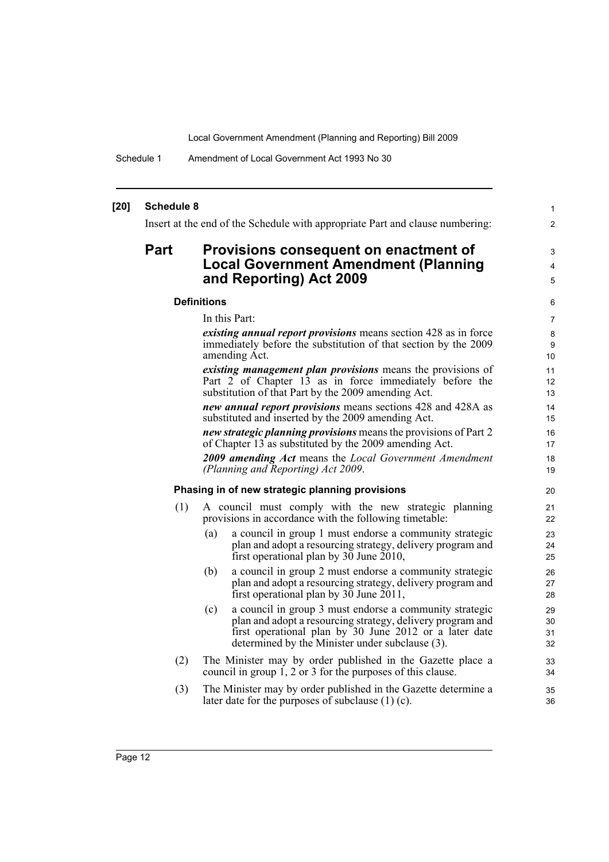Schedule 1 Amendment of Local Government Act 1993 No 30

#### **[20] Schedule 8** Insert at the end of the Schedule with appropriate Part and clause numbering: **Part Provisions consequent on enactment of Local Government Amendment (Planning and Reporting) Act 2009 Definitions** In this Part: *existing annual report provisions* means section 428 as in force immediately before the substitution of that section by the 2009 amending Act. *existing management plan provisions* means the provisions of Part 2 of Chapter 13 as in force immediately before the substitution of that Part by the 2009 amending Act. *new annual report provisions* means sections 428 and 428A as substituted and inserted by the 2009 amending Act. *new strategic planning provisions* means the provisions of Part 2 of Chapter 13 as substituted by the 2009 amending Act. *2009 amending Act* means the *Local Government Amendment (Planning and Reporting) Act 2009*. **Phasing in of new strategic planning provisions** (1) A council must comply with the new strategic planning provisions in accordance with the following timetable: (a) a council in group 1 must endorse a community strategic plan and adopt a resourcing strategy, delivery program and first operational plan by  $30$  June  $2010$ , (b) a council in group 2 must endorse a community strategic plan and adopt a resourcing strategy, delivery program and first operational plan by 30 June 2011, (c) a council in group 3 must endorse a community strategic plan and adopt a resourcing strategy, delivery program and first operational plan by 30 June 2012 or a later date determined by the Minister under subclause (3). (2) The Minister may by order published in the Gazette place a council in group 1, 2 or 3 for the purposes of this clause. (3) The Minister may by order published in the Gazette determine a later date for the purposes of subclause (1) (c). 1 2 3 4 5 6 7 8 **9** 10 11 12 13 14 15 16 17 18 19 20 21 22 23 24 25 26 27 28 29 30 31 32 33 34 35 36